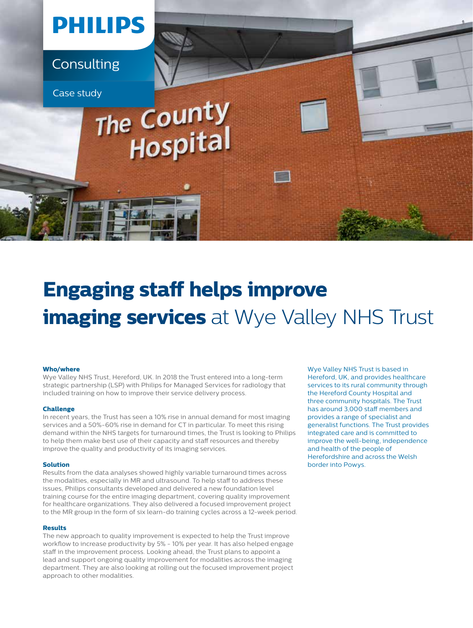

# **Engaging staff helps improve imaging services** at Wye Valley NHS Trust

#### **Who/where**

Wye Valley NHS Trust, Hereford, UK. In 2018 the Trust entered into a long-term strategic partnership (LSP) with Philips for Managed Services for radiology that included training on how to improve their service delivery process.

#### **Challenge**

In recent years, the Trust has seen a 10% rise in annual demand for most imaging services and a 50%-60% rise in demand for CT in particular. To meet this rising demand within the NHS targets for turnaround times, the Trust is looking to Philips to help them make best use of their capacity and staff resources and thereby improve the quality and productivity of its imaging services.

#### **Solution**

Results from the data analyses showed highly variable turnaround times across the modalities, especially in MR and ultrasound. To help staff to address these issues, Philips consultants developed and delivered a new foundation level training course for the entire imaging department, covering quality improvement for healthcare organizations. They also delivered a focused improvement project to the MR group in the form of six learn-do training cycles across a 12-week period.

#### **Results**

The new approach to quality improvement is expected to help the Trust improve workflow to increase productivity by 5% - 10% per year. It has also helped engage staff in the improvement process. Looking ahead, the Trust plans to appoint a lead and support ongoing quality improvement for modalities across the imaging department. They are also looking at rolling out the focused improvement project approach to other modalities.

Wye Valley NHS Trust is based in Hereford, UK, and provides healthcare services to its rural community through the Hereford County Hospital and three community hospitals. The Trust has around 3,000 staff members and provides a range of specialist and generalist functions. The Trust provides integrated care and is committed to improve the well-being, independence and health of the people of Herefordshire and across the Welsh border into Powys.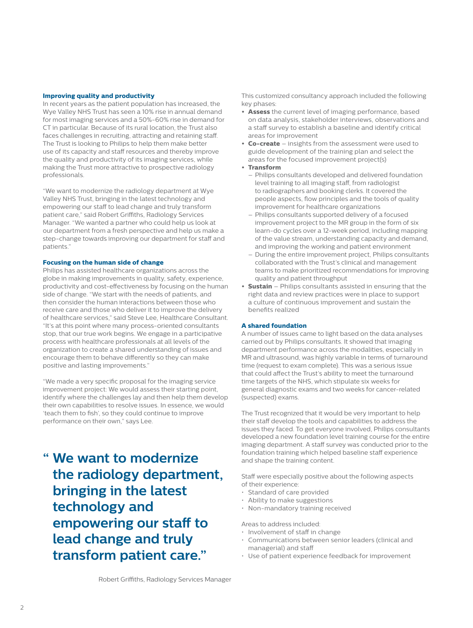#### **Improving quality and productivity**

In recent years as the patient population has increased, the Wye Valley NHS Trust has seen a 10% rise in annual demand for most imaging services and a 50%-60% rise in demand for CT in particular. Because of its rural location, the Trust also faces challenges in recruiting, attracting and retaining staff. The Trust is looking to Philips to help them make better use of its capacity and staff resources and thereby improve the quality and productivity of its imaging services, while making the Trust more attractive to prospective radiology professionals.

"We want to modernize the radiology department at Wye Valley NHS Trust, bringing in the latest technology and empowering our staff to lead change and truly transform patient care," said Robert Griffiths, Radiology Services Manager. "We wanted a partner who could help us look at our department from a fresh perspective and help us make a step-change towards improving our department for staff and patients."

#### **Focusing on the human side of change**

Philips has assisted healthcare organizations across the globe in making improvements in quality, safety, experience, productivity and cost-effectiveness by focusing on the human side of change. "We start with the needs of patients, and then consider the human interactions between those who receive care and those who deliver it to improve the delivery of healthcare services," said Steve Lee, Healthcare Consultant. "It's at this point where many process-oriented consultants stop, that our true work begins. We engage in a participative process with healthcare professionals at all levels of the organization to create a shared understanding of issues and encourage them to behave differently so they can make positive and lasting improvements."

"We made a very specific proposal for the imaging service improvement project: We would assess their starting point, identify where the challenges lay and then help them develop their own capabilities to resolve issues. In essence, we would 'teach them to fish', so they could continue to improve performance on their own," says Lee.

**" We want to modernize the radiology department, bringing in the latest technology and empowering our staff to lead change and truly transform patient care."**

This customized consultancy approach included the following key phases:

- **• Assess** the current level of imaging performance, based on data analysis, stakeholder interviews, observations and a staff survey to establish a baseline and identify critical areas for improvement
- **• Co-create** insights from the assessment were used to guide development of the training plan and select the areas for the focused improvement project(s)
- **• Transform**
	- Philips consultants developed and delivered foundation level training to all imaging staff, from radiologist to radiographers and booking clerks. It covered the people aspects, flow principles and the tools of quality improvement for healthcare organizations
	- Philips consultants supported delivery of a focused improvement project to the MR group in the form of six learn-do cycles over a 12-week period, including mapping of the value stream, understanding capacity and demand, and improving the working and patient environment
	- During the entire improvement project, Philips consultants collaborated with the Trust's clinical and management teams to make prioritized recommendations for improving quality and patient throughput
- **• Sustain** Philips consultants assisted in ensuring that the right data and review practices were in place to support a culture of continuous improvement and sustain the benefits realized

#### **A shared foundation**

A number of issues came to light based on the data analyses carried out by Philips consultants. It showed that imaging department performance across the modalities, especially in MR and ultrasound, was highly variable in terms of turnaround time (request to exam complete). This was a serious issue that could affect the Trust's ability to meet the turnaround time targets of the NHS, which stipulate six weeks for general diagnostic exams and two weeks for cancer-related (suspected) exams.

The Trust recognized that it would be very important to help their staff develop the tools and capabilities to address the issues they faced. To get everyone involved, Philips consultants developed a new foundation level training course for the entire imaging department. A staff survey was conducted prior to the foundation training which helped baseline staff experience and shape the training content.

Staff were especially positive about the following aspects of their experience:

- Standard of care provided
- Ability to make suggestions
- Non-mandatory training received

Areas to address included:

- Involvement of staff in change
- Communications between senior leaders (clinical and managerial) and staff
- Use of patient experience feedback for improvement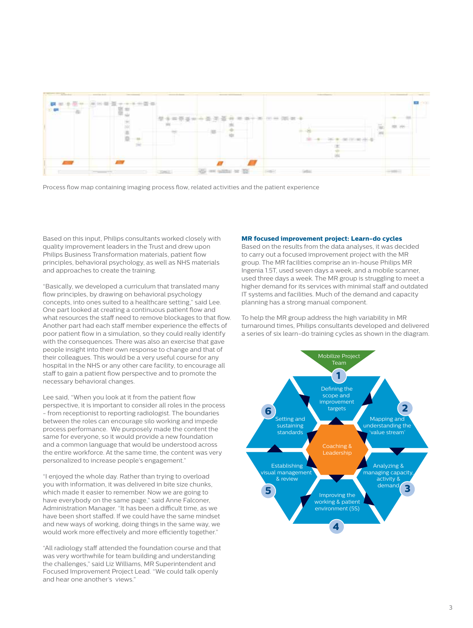

Process flow map containing imaging process flow, related activities and the patient experience

Based on this input, Philips consultants worked closely with quality improvement leaders in the Trust and drew upon Philips Business Transformation materials, patient flow principles, behavioral psychology, as well as NHS materials and approaches to create the training.

"Basically, we developed a curriculum that translated many flow principles, by drawing on behavioral psychology concepts, into ones suited to a healthcare setting," said Lee. One part looked at creating a continuous patient flow and what resources the staff need to remove blockages to that flow. Another part had each staff member experience the effects of poor patient flow in a simulation, so they could really identify with the consequences. There was also an exercise that gave people insight into their own response to change and that of their colleagues. This would be a very useful course for any hospital in the NHS or any other care facility, to encourage all staff to gain a patient flow perspective and to promote the necessary behavioral changes.

Lee said, "When you look at it from the patient flow perspective, it is important to consider all roles in the process - from receptionist to reporting radiologist. The boundaries between the roles can encourage silo working and impede process performance. We purposely made the content the same for everyone, so it would provide a new foundation and a common language that would be understood across the entire workforce. At the same time, the content was very personalized to increase people's engagement."

"I enjoyed the whole day. Rather than trying to overload you with information, it was delivered in bite size chunks, which made it easier to remember. Now we are going to have everybody on the same page," said Anne Falconer, Administration Manager. "It has been a difficult time, as we have been short staffed. If we could have the same mindset and new ways of working, doing things in the same way, we would work more effectively and more efficiently together."

"All radiology staff attended the foundation course and that was very worthwhile for team building and understanding the challenges," said Liz Williams, MR Superintendent and Focused Improvement Project Lead. "We could talk openly and hear one another's views."

#### **MR focused improvement project: Learn-do cycles**

Based on the results from the data analyses, it was decided to carry out a focused improvement project with the MR group. The MR facilities comprise an in-house Philips MR Ingenia 1.5T, used seven days a week, and a mobile scanner, used three days a week. The MR group is struggling to meet a higher demand for its services with minimal staff and outdated IT systems and facilities. Much of the demand and capacity planning has a strong manual component.

To help the MR group address the high variability in MR turnaround times, Philips consultants developed and delivered a series of six learn-do training cycles as shown in the diagram.